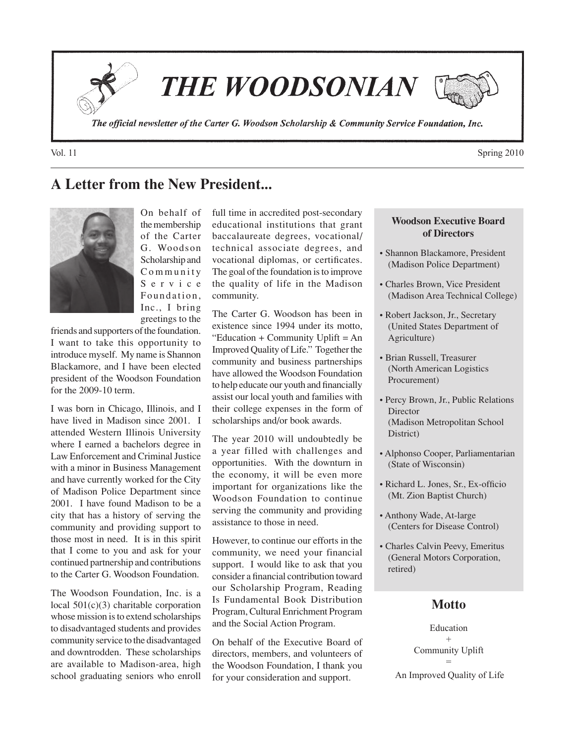**THE WOODSONIAN** 

The official newsletter of the Carter G. Woodson Scholarship & Community Service Foundation, Inc.

# **A Letter from the New President...**



On behalf of the membership of the Carter G. Woodson Scholarship and C o m m u n i t y S e r v i c e Foundation. Inc., I bring greetings to the

friends and supporters of the foundation. I want to take this opportunity to introduce myself. My name is Shannon Blackamore, and I have been elected president of the Woodson Foundation for the 2009-10 term.

I was born in Chicago, Illinois, and I have lived in Madison since 2001. I attended Western Illinois University where I earned a bachelors degree in Law Enforcement and Criminal Justice with a minor in Business Management and have currently worked for the City of Madison Police Department since 2001. I have found Madison to be a city that has a history of serving the community and providing support to those most in need. It is in this spirit that I come to you and ask for your continued partnership and contributions to the Carter G. Woodson Foundation.

The Woodson Foundation, Inc. is a local 501(c)(3) charitable corporation whose mission is to extend scholarships to disadvantaged students and provides community service to the disadvantaged and downtrodden. These scholarships are available to Madison-area, high school graduating seniors who enroll

full time in accredited post-secondary educational institutions that grant baccalaureate degrees, vocational/ technical associate degrees, and vocational diplomas, or certificates. The goal of the foundation is to improve the quality of life in the Madison community.

The Carter G. Woodson has been in existence since 1994 under its motto, "Education + Community Uplift = An Improved Quality of Life." Together the community and business partnerships have allowed the Woodson Foundation to help educate our youth and financially assist our local youth and families with their college expenses in the form of scholarships and/or book awards.

The year 2010 will undoubtedly be a year filled with challenges and opportunities. With the downturn in the economy, it will be even more important for organizations like the Woodson Foundation to continue serving the community and providing assistance to those in need.

However, to continue our efforts in the community, we need your financial support. I would like to ask that you consider a financial contribution toward our Scholarship Program, Reading Is Fundamental Book Distribution Program, Cultural Enrichment Program and the Social Action Program.

On behalf of the Executive Board of directors, members, and volunteers of the Woodson Foundation, I thank you for your consideration and support.

#### **Woodson Executive Board of Directors**

- Shannon Blackamore, President (Madison Police Department)
- Charles Brown, Vice President (Madison Area Technical College)
- Robert Jackson, Jr., Secretary (United States Department of Agriculture)
- Brian Russell, Treasurer (North American Logistics Procurement)
- Percy Brown, Jr., Public Relations Director (Madison Metropolitan School District)
- Alphonso Cooper, Parliamentarian (State of Wisconsin)
- Richard L. Jones, Sr., Ex-officio (Mt. Zion Baptist Church)
- Anthony Wade, At-large (Centers for Disease Control)
- Charles Calvin Peevy, Emeritus (General Motors Corporation, retired)

# **Motto**

Education + Community Uplift = An Improved Quality of Life

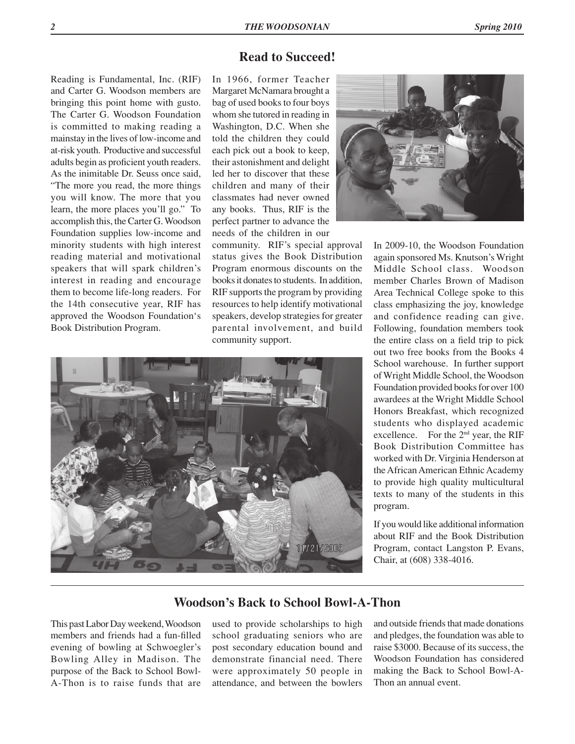## **Read to Succeed!**

Reading is Fundamental, Inc. (RIF) and Carter G. Woodson members are bringing this point home with gusto. The Carter G. Woodson Foundation is committed to making reading a mainstay in the lives of low-income and at-risk youth. Productive and successful adults begin as proficient youth readers. As the inimitable Dr. Seuss once said, "The more you read, the more things you will know. The more that you learn, the more places you'll go." To accomplish this, the Carter G. Woodson Foundation supplies low-income and minority students with high interest reading material and motivational speakers that will spark children's interest in reading and encourage them to become life-long readers. For the 14th consecutive year, RIF has approved the Woodson Foundation's Book Distribution Program.

In 1966, former Teacher Margaret McNamara brought a bag of used books to four boys whom she tutored in reading in Washington, D.C. When she told the children they could each pick out a book to keep, their astonishment and delight led her to discover that these children and many of their classmates had never owned any books. Thus, RIF is the perfect partner to advance the needs of the children in our

community. RIF's special approval status gives the Book Distribution Program enormous discounts on the books it donates to students. In addition, RIF supports the program by providing resources to help identify motivational speakers, develop strategies for greater parental involvement, and build community support.





In 2009-10, the Woodson Foundation again sponsored Ms. Knutson's Wright Middle School class. Woodson member Charles Brown of Madison Area Technical College spoke to this class emphasizing the joy, knowledge and confidence reading can give. Following, foundation members took the entire class on a field trip to pick out two free books from the Books 4 School warehouse. In further support of Wright Middle School, the Woodson Foundation provided books for over 100 awardees at the Wright Middle School Honors Breakfast, which recognized students who displayed academic excellence. For the 2nd year, the RIF Book Distribution Committee has worked with Dr. Virginia Henderson at the African American Ethnic Academy to provide high quality multicultural texts to many of the students in this program.

If you would like additional information about RIF and the Book Distribution Program, contact Langston P. Evans, Chair, at (608) 338-4016.

### **Woodson's Back to School Bowl-A-Thon**

This past Labor Day weekend, Woodson members and friends had a fun-filled evening of bowling at Schwoegler's Bowling Alley in Madison. The purpose of the Back to School Bowl-A-Thon is to raise funds that are

used to provide scholarships to high school graduating seniors who are post secondary education bound and demonstrate financial need. There were approximately 50 people in attendance, and between the bowlers and outside friends that made donations and pledges, the foundation was able to raise \$3000. Because of its success, the Woodson Foundation has considered making the Back to School Bowl-A-Thon an annual event.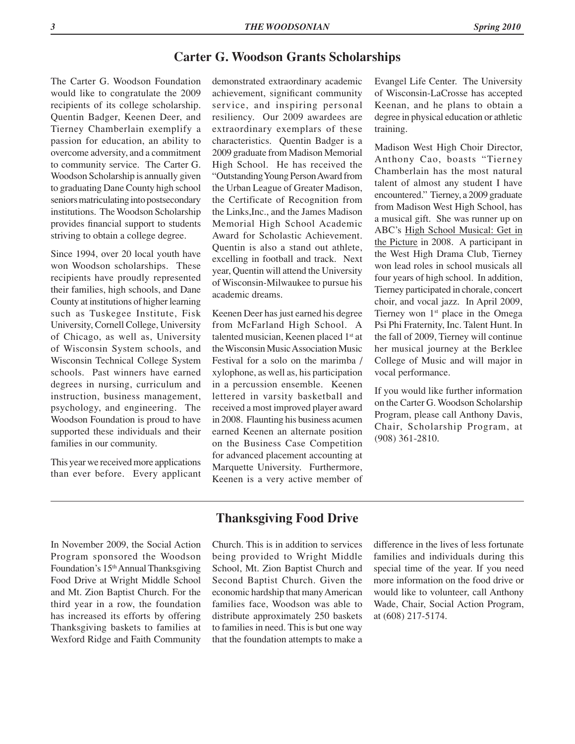#### **Carter G. Woodson Grants Scholarships**

The Carter G. Woodson Foundation would like to congratulate the 2009 recipients of its college scholarship. Quentin Badger, Keenen Deer, and Tierney Chamberlain exemplify a passion for education, an ability to overcome adversity, and a commitment to community service. The Carter G. Woodson Scholarship is annually given to graduating Dane County high school seniors matriculating into postsecondary institutions. The Woodson Scholarship provides financial support to students striving to obtain a college degree.

Since 1994, over 20 local youth have won Woodson scholarships. These recipients have proudly represented their families, high schools, and Dane County at institutions of higher learning such as Tuskegee Institute, Fisk University, Cornell College, University of Chicago, as well as, University of Wisconsin System schools, and Wisconsin Technical College System schools. Past winners have earned degrees in nursing, curriculum and instruction, business management, psychology, and engineering. The Woodson Foundation is proud to have supported these individuals and their families in our community.

This year we received more applications than ever before. Every applicant

demonstrated extraordinary academic achievement, significant community service, and inspiring personal resiliency. Our 2009 awardees are extraordinary exemplars of these characteristics. Quentin Badger is a 2009 graduate from Madison Memorial High School. He has received the "Outstanding Young Person Award from the Urban League of Greater Madison, the Certificate of Recognition from the Links,Inc., and the James Madison Memorial High School Academic Award for Scholastic Achievement. Quentin is also a stand out athlete, excelling in football and track. Next year, Quentin will attend the University of Wisconsin-Milwaukee to pursue his academic dreams.

Keenen Deer has just earned his degree from McFarland High School. A talented musician, Keenen placed 1<sup>st</sup> at the Wisconsin Music Association Music Festival for a solo on the marimba / xylophone, as well as, his participation in a percussion ensemble. Keenen lettered in varsity basketball and received a most improved player award in 2008. Flaunting his business acumen earned Keenen an alternate position on the Business Case Competition for advanced placement accounting at Marquette University. Furthermore, Keenen is a very active member of

Evangel Life Center. The University of Wisconsin-LaCrosse has accepted Keenan, and he plans to obtain a degree in physical education or athletic training.

Madison West High Choir Director, Anthony Cao, boasts "Tierney Chamberlain has the most natural talent of almost any student I have encountered." Tierney, a 2009 graduate from Madison West High School, has a musical gift. She was runner up on ABC's High School Musical: Get in the Picture in 2008. A participant in the West High Drama Club, Tierney won lead roles in school musicals all four years of high school. In addition, Tierney participated in chorale, concert choir, and vocal jazz. In April 2009, Tierney won  $1<sup>st</sup>$  place in the Omega Psi Phi Fraternity, Inc. Talent Hunt. In the fall of 2009, Tierney will continue her musical journey at the Berklee College of Music and will major in vocal performance.

If you would like further information on the Carter G. Woodson Scholarship Program, please call Anthony Davis, Chair, Scholarship Program, at (908) 361-2810.

In November 2009, the Social Action Program sponsored the Woodson Foundation's 15th Annual Thanksgiving Food Drive at Wright Middle School and Mt. Zion Baptist Church. For the third year in a row, the foundation has increased its efforts by offering Thanksgiving baskets to families at Wexford Ridge and Faith Community

# **Thanksgiving Food Drive**

Church. This is in addition to services being provided to Wright Middle School, Mt. Zion Baptist Church and Second Baptist Church. Given the economic hardship that many American families face, Woodson was able to distribute approximately 250 baskets to families in need. This is but one way that the foundation attempts to make a difference in the lives of less fortunate families and individuals during this special time of the year. If you need more information on the food drive or would like to volunteer, call Anthony Wade, Chair, Social Action Program, at (608) 217-5174.